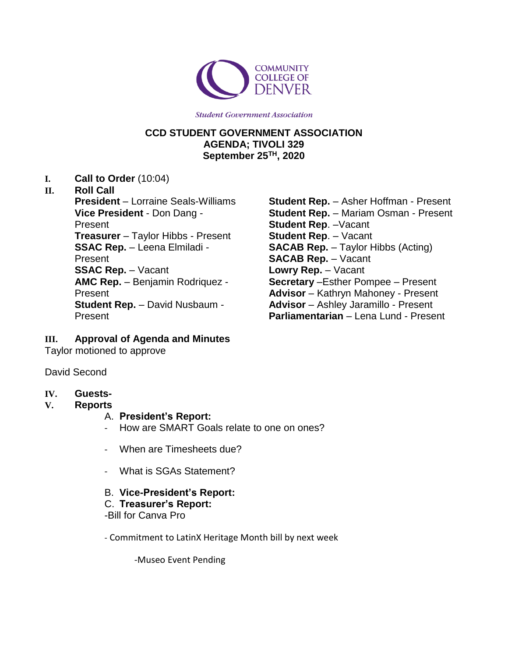

**Student Government Association** 

### **CCD STUDENT GOVERNMENT ASSOCIATION AGENDA; TIVOLI 329 September 25TH, 2020**

**I. Call to Order** (10:04)

#### **II. Roll Call**

**President** – Lorraine Seals-Williams **Vice President** - Don Dang - Present **Treasurer** – Taylor Hibbs - Present **SSAC Rep.** – Leena Elmiladi - Present **SSAC Rep.** – Vacant **AMC Rep.** – Benjamin Rodriquez - Present **Student Rep.** – David Nusbaum - Present

**Student Rep.** – Asher Hoffman - Present **Student Rep.** – Mariam Osman - Present **Student Rep**. –Vacant **Student Rep**. – Vacant **SACAB Rep.** – Taylor Hibbs (Acting) **SACAB Rep.** – Vacant **Lowry Rep.** – Vacant **Secretary** –Esther Pompee – Present **Advisor** – Kathryn Mahoney - Present **Advisor** – Ashley Jaramillo - Present **Parliamentarian** – Lena Lund - Present

### **III. Approval of Agenda and Minutes**

Taylor motioned to approve

David Second

### **IV. Guests-**

**V. Reports**

### A. **President's Report:**

- How are SMART Goals relate to one on ones?
- When are Timesheets due?
- What is SGAs Statement?

### B. **Vice-President's Report:**

C. **Treasurer's Report:** -Bill for Canva Pro

- Commitment to LatinX Heritage Month bill by next week

-Museo Event Pending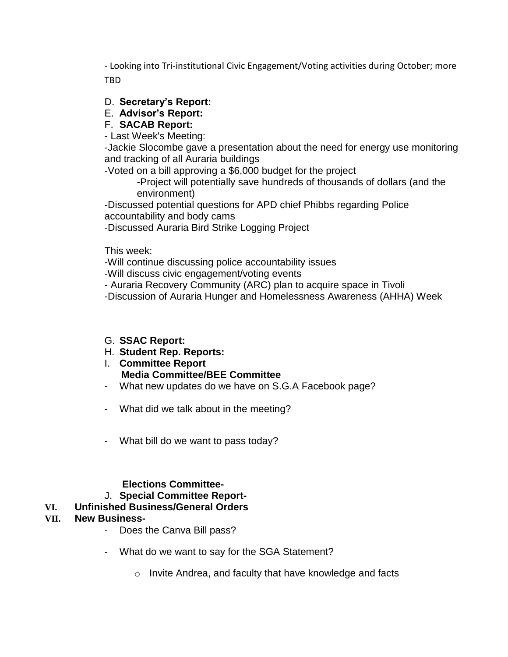- Looking into Tri-institutional Civic Engagement/Voting activities during October; more TBD

## D. **Secretary's Report:**

## E. **Advisor's Report:**

## F. **SACAB Report:**

- Last Week's Meeting:

-Jackie Slocombe gave a presentation about the need for energy use monitoring and tracking of all Auraria buildings

-Voted on a bill approving a \$6,000 budget for the project

-Project will potentially save hundreds of thousands of dollars (and the environment)

-Discussed potential questions for APD chief Phibbs regarding Police accountability and body cams

-Discussed Auraria Bird Strike Logging Project

This week:

-Will continue discussing police accountability issues

-Will discuss civic engagement/voting events

- Auraria Recovery Community (ARC) plan to acquire space in Tivoli

-Discussion of Auraria Hunger and Homelessness Awareness (AHHA) Week

### G. **SSAC Report:**

- H. **Student Rep. Reports:**
- I. **Committee Report Media Committee/BEE Committee**
- What new updates do we have on S.G.A Facebook page?
- What did we talk about in the meeting?
- What bill do we want to pass today?

# **Elections Committee-**

# J. **Special Committee Report-**

# **VI. Unfinished Business/General Orders**

# **VII. New Business-**

- Does the Canva Bill pass?
- What do we want to say for the SGA Statement?
	- o Invite Andrea, and faculty that have knowledge and facts